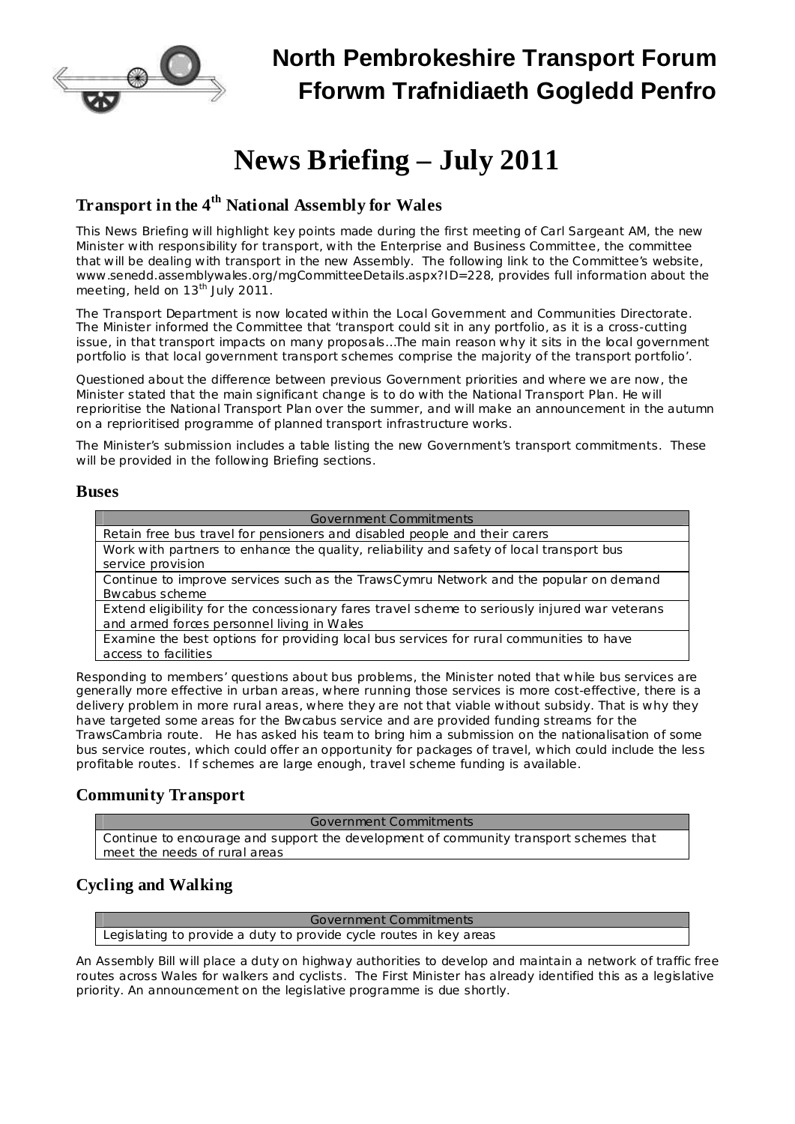

## **North Pembrokeshire Transport Forum Fforwm Trafnidiaeth Gogledd Penfro**

# **News Briefing – July 2011**

## **Transport in the 4 th National Assembly for Wales**

This News Briefing will highlight key points made during the first meeting of Carl Sargeant AM, the new Minister with responsibility for transport, with the Enterprise and Business Committee, the committee that will be dealing with transport in the new Assembly. The following link to the Committee's website, [www.senedd.assemblywales.org/mgCommitteeDetails.aspx?ID=228](http://www.senedd.assemblywales.org/mgCommitteeDetails.aspx?ID=228), provides full information about the meeting, held on 13<sup>th</sup> July 2011.

The Transport Department is now located within the Local Government and Communities Directorate. The Minister informed the Committee that 'transport could sit in any portfolio, as it is a cross-cutting issue, in that transport impacts on many proposals...The main reason why it sits in the local government portfolio is that local government transport schemes comprise the majority of the transport portfolio'.

Questioned about the difference between previous Government priorities and where we are now, the Minister stated that the main significant change is to do with the National Transport Plan. He will reprioritise the National Transport Plan over the summer, and will make an announcement in the autumn on a reprioritised programme of planned transport infrastructure works.

The Minister's submission includes a table listing the new Government's transport commitments. These will be provided in the following Briefing sections.

#### **Buses**

| Government Commitments                                                                         |
|------------------------------------------------------------------------------------------------|
| Retain free bus travel for pensioners and disabled people and their carers                     |
| Work with partners to enhance the quality, reliability and safety of local transport bus       |
| service provision                                                                              |
| Continue to improve services such as the TrawsCymru Network and the popular on demand          |
| Bwcabus scheme                                                                                 |
| Extend eligibility for the concessionary fares travel scheme to seriously injured war veterans |
| and armed forces personnel living in Wales                                                     |
| Examine the best options for providing local bus services for rural communities to have        |
| access to facilities                                                                           |
|                                                                                                |

Responding to members' questions about bus problems, the Minister noted that while bus services are generally more effective in urban areas, where running those services is more cost-effective, there is a delivery problem in more rural areas, where they are not that viable without subsidy. That is why they have targeted some areas for the Bwcabus service and are provided funding streams for the TrawsCambria route. He has asked his team to bring him a submission on the nationalisation of some

bus service routes, which could offer an opportunity for packages of travel, which could include the less profitable routes. If schemes are large enough, travel scheme funding is available.

### **Community Transport**

Government Commitments

Continue to encourage and support the development of community transport schemes that meet the needs of rural areas

### **Cycling and Walking**

Government Commitments Legislating to provide a duty to provide cycle routes in key areas

An Assembly Bill will place a duty on highway authorities to develop and maintain a network of traffic free routes across Wales for walkers and cyclists. The First Minister has already identified this as a legislative priority. An announcement on the legislative programme is due shortly.